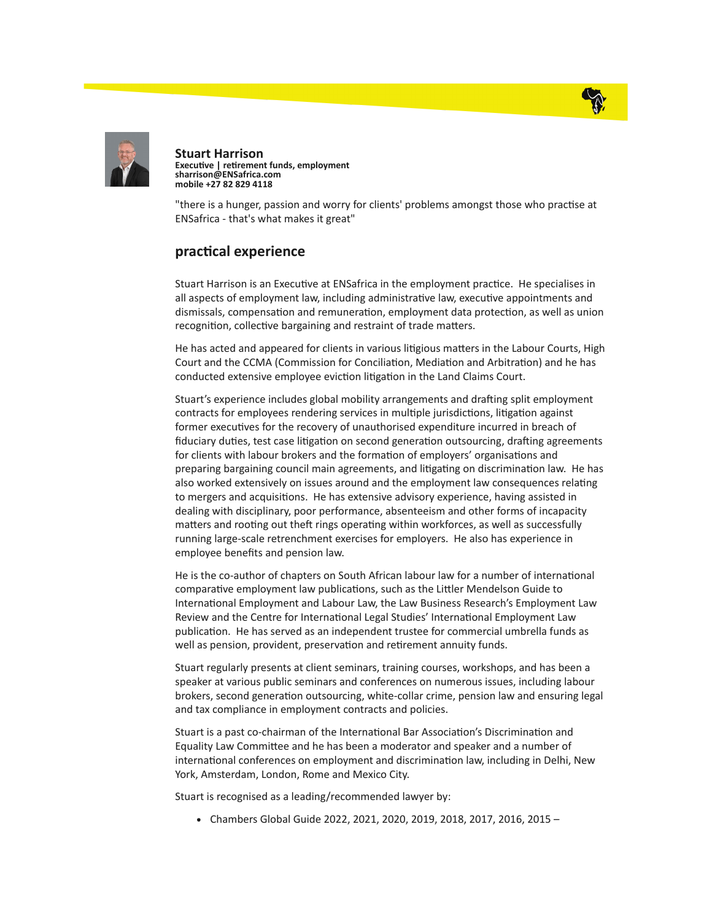



Stuart Harrison Executive | retirement funds, employment sharrison@ENSafrica.com mobile +27 82 829 4118

"there is a hunger, passion and worry for clients' problems amongst those who practise at ENSafrica - that's what makes it great"

## practical experience

Stuart Harrison is an Executive at ENSafrica in the employment practice. He specialises in all aspects of employment law, including administrative law, executive appointments and dismissals, compensation and remuneration, employment data protection, as well as union recognition, collective bargaining and restraint of trade matters.

He has acted and appeared for clients in various litigious matters in the Labour Courts, High Court and the CCMA (Commission for Conciliation, Mediation and Arbitration) and he has conducted extensive employee eviction litigation in the Land Claims Court.

Stuart's experience includes global mobility arrangements and drafting split employment contracts for employees rendering services in multiple jurisdictions, litigation against former executives for the recovery of unauthorised expenditure incurred in breach of fiduciary duties, test case litigation on second generation outsourcing, drafting agreements for clients with labour brokers and the formation of employers' organisations and preparing bargaining council main agreements, and litigating on discrimination law. He has also worked extensively on issues around and the employment law consequences relating to mergers and acquisitions. He has extensive advisory experience, having assisted in dealing with disciplinary, poor performance, absenteeism and other forms of incapacity matters and rooting out theft rings operating within workforces, as well as successfully running large-scale retrenchment exercises for employers. He also has experience in employee benefits and pension law.

He is the co-author of chapters on South African labour law for a number of international comparative employment law publications, such as the Littler Mendelson Guide to International Employment and Labour Law, the Law Business Research's Employment Law Review and the Centre for International Legal Studies' International Employment Law publication. He has served as an independent trustee for commercial umbrella funds as well as pension, provident, preservation and retirement annuity funds.

Stuart regularly presents at client seminars, training courses, workshops, and has been a speaker at various public seminars and conferences on numerous issues, including labour brokers, second generation outsourcing, white-collar crime, pension law and ensuring legal and tax compliance in employment contracts and policies.

Stuart is a past co-chairman of the International Bar Association's Discrimination and Equality Law Committee and he has been a moderator and speaker and a number of international conferences on employment and discrimination law, including in Delhi, New York, Amsterdam, London, Rome and Mexico City.

Stuart is recognised as a leading/recommended lawyer by:

Chambers Global Guide 2022, 2021, 2020, 2019, 2018, 2017, 2016, 2015 –